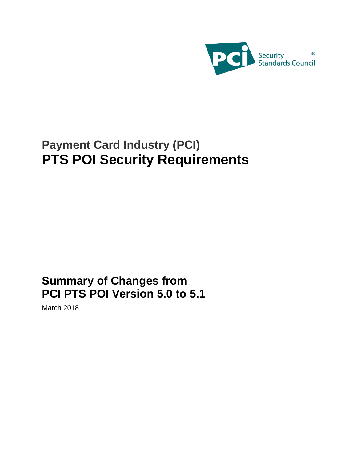

# **Payment Card Industry (PCI) PTS POI Security Requirements**

## **Summary of Changes from PCI PTS POI Version 5.0 to 5.1**

March 2018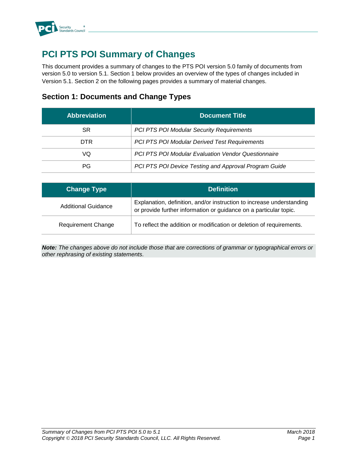

## **PCI PTS POI Summary of Changes**

This document provides a summary of changes to the PTS POI version 5.0 family of documents from version 5.0 to version 5.1. Section 1 below provides an overview of the types of changes included in Version 5.1. Section 2 on the following pages provides a summary of material changes.

#### **Section 1: Documents and Change Types**

| <b>Abbreviation</b> | <b>Document Title</b>                                      |
|---------------------|------------------------------------------------------------|
| SR                  | <b>PCI PTS POI Modular Security Requirements</b>           |
| DTR.                | PCI PTS POI Modular Derived Test Requirements              |
| VQ                  | <b>PCI PTS POI Modular Evaluation Vendor Questionnaire</b> |
| PG.                 | PCI PTS POI Device Testing and Approval Program Guide      |

| <b>Change Type</b>        | <b>Definition</b>                                                                                                                          |
|---------------------------|--------------------------------------------------------------------------------------------------------------------------------------------|
| Additional Guidance       | Explanation, definition, and/or instruction to increase understanding<br>or provide further information or guidance on a particular topic. |
| <b>Requirement Change</b> | To reflect the addition or modification or deletion of requirements.                                                                       |

*Note: The changes above do not include those that are corrections of grammar or typographical errors or other rephrasing of existing statements.*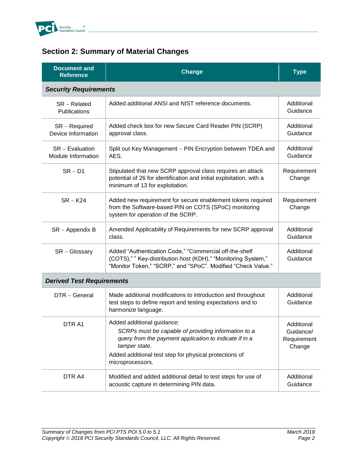

### **Section 2: Summary of Material Changes**

| <b>Document and</b><br><b>Reference</b> | <b>Change</b>                                                                                                                                                                                                                              | <b>Type</b>                                      |  |  |
|-----------------------------------------|--------------------------------------------------------------------------------------------------------------------------------------------------------------------------------------------------------------------------------------------|--------------------------------------------------|--|--|
|                                         | <b>Security Requirements</b>                                                                                                                                                                                                               |                                                  |  |  |
| $SR - Related$<br>Publications          | Added additional ANSI and NIST reference documents.                                                                                                                                                                                        | Additional<br>Guidance                           |  |  |
| $SR - Required$<br>Device Information   | Added check box for new Secure Card Reader PIN (SCRP)<br>approval class.                                                                                                                                                                   | Additional<br>Guidance                           |  |  |
| $SR - Evaluation$<br>Module Information | Split out Key Management - PIN Encryption between TDEA and<br>AES.                                                                                                                                                                         | Additional<br>Guidance                           |  |  |
| $SR - D1$                               | Stipulated that new SCRP approval class requires an attack<br>potential of 26 for identification and initial exploitation, with a<br>minimum of 13 for exploitation.                                                                       | Requirement<br>Change                            |  |  |
| $SR - K24$                              | Added new requirement for secure enablement tokens required<br>from the Software-based PIN on COTS (SPoC) monitoring<br>system for operation of the SCRP.                                                                                  | Requirement<br>Change                            |  |  |
| $SR - Appendix B$                       | Amended Applicability of Requirements for new SCRP approval<br>class.                                                                                                                                                                      | Additional<br>Guidance                           |  |  |
| $SR - Glossary$                         | Added "Authentication Code," "Commercial off-the-shelf<br>(COTS)," " Key-distribution host (KDH)," "Monitoring System,"<br>"Monitor Token," "SCRP," and "SPoC". Modified "Check Value."                                                    | Additional<br>Guidance                           |  |  |
| <b>Derived Test Requirements</b>        |                                                                                                                                                                                                                                            |                                                  |  |  |
| DTR - General                           | Made additional modifications to introduction and throughout<br>test steps to define report and testing expectations and to<br>harmonize language.                                                                                         | Additional<br>Guidance                           |  |  |
| DTR A1                                  | Added additional guidance:<br>SCRPs must be capable of providing information to a<br>query from the payment application to indicate if in a<br>tamper state.<br>Added additional test step for physical protections of<br>microprocessors. | Additional<br>Guidance/<br>Requirement<br>Change |  |  |
| DTR A4                                  | Modified and added additional detail to test steps for use of<br>acoustic capture in determining PIN data.                                                                                                                                 | Additional<br>Guidance                           |  |  |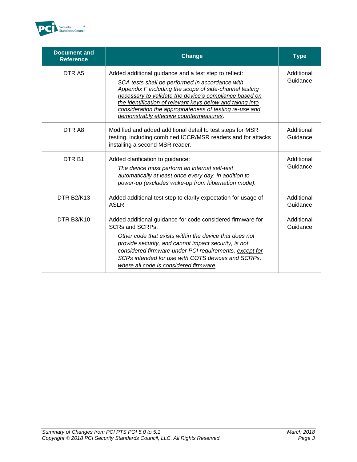

| <b>Document and</b><br><b>Reference</b> | <b>Change</b>                                                                                                                                                                                                                                                                                                                                                                                   | <b>Type</b>            |
|-----------------------------------------|-------------------------------------------------------------------------------------------------------------------------------------------------------------------------------------------------------------------------------------------------------------------------------------------------------------------------------------------------------------------------------------------------|------------------------|
| DTR <sub>A5</sub>                       | Added additional guidance and a test step to reflect:<br>SCA tests shall be performed in accordance with<br>Appendix F including the scope of side-channel testing<br>necessary to validate the device's compliance based on<br>the identification of relevant keys below and taking into<br>consideration the appropriateness of testing re-use and<br>demonstrably effective countermeasures. | Additional<br>Guidance |
| DTR A8                                  | Modified and added additional detail to test steps for MSR<br>testing, including combined ICCR/MSR readers and for attacks<br>installing a second MSR reader.                                                                                                                                                                                                                                   | Additional<br>Guidance |
| DTR <sub>B1</sub>                       | Added clarification to guidance:<br>The device must perform an internal self-test<br>automatically at least once every day, in addition to<br>power-up (excludes wake-up from hibernation mode).                                                                                                                                                                                                | Additional<br>Guidance |
| <b>DTR B2/K13</b>                       | Added additional test step to clarify expectation for usage of<br>ASLR.                                                                                                                                                                                                                                                                                                                         | Additional<br>Guidance |
| <b>DTR B3/K10</b>                       | Added additional guidance for code considered firmware for<br><b>SCRs and SCRPs:</b><br>Other code that exists within the device that does not<br>provide security, and cannot impact security, is not<br>considered firmware under PCI requirements, except for<br>SCRs intended for use with COTS devices and SCRPs,<br>where all code is considered firmware.                                | Additional<br>Guidance |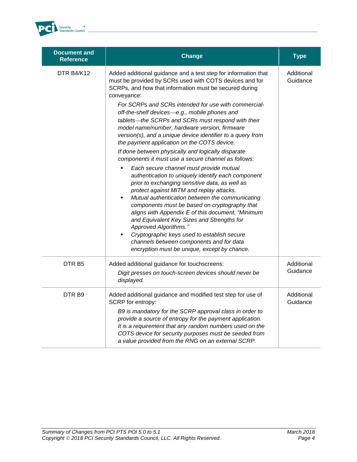

| <b>Document and</b><br><b>Reference</b> | Change                                                                                                                                                                                                                                                                                                                                                                                                                                                                                                                                                                                                                                                                                                                                                                                                                                                                                                                                                                                                                                                                                                                                                                                                                      | <b>Type</b>            |
|-----------------------------------------|-----------------------------------------------------------------------------------------------------------------------------------------------------------------------------------------------------------------------------------------------------------------------------------------------------------------------------------------------------------------------------------------------------------------------------------------------------------------------------------------------------------------------------------------------------------------------------------------------------------------------------------------------------------------------------------------------------------------------------------------------------------------------------------------------------------------------------------------------------------------------------------------------------------------------------------------------------------------------------------------------------------------------------------------------------------------------------------------------------------------------------------------------------------------------------------------------------------------------------|------------------------|
| DTR B4/K12                              | Added additional guidance and a test step for information that<br>must be provided by SCRs used with COTS devices and for<br>SCRPs, and how that information must be secured during<br>conveyance:<br>For SCRPs and SCRs intended for use with commercial-<br>off-the-shelf devices-e.g., mobile phones and<br>tablets-the SCRPs and SCRs must respond with their<br>model name/number, hardware version, firmware<br>version(s), and a unique device identifier to a query from<br>the payment application on the COTS device.<br>If done between physically and logically disparate<br>components it must use a secure channel as follows:<br>Each secure channel must provide mutual<br>authentication to uniquely identify each component<br>prior to exchanging sensitive data, as well as<br>protect against MITM and replay attacks.<br>Mutual authentication between the communicating<br>٠<br>components must be based on cryptography that<br>aligns with Appendix E of this document, "Minimum<br>and Equivalent Key Sizes and Strengths for<br>Approved Algorithms."<br>Cryptographic keys used to establish secure<br>channels between components and for data<br>encryption must be unique, except by chance. | Additional<br>Guidance |
| DTR <sub>B5</sub>                       | Added additional guidance for touchscreens:<br>Digit presses on touch-screen devices should never be<br>displayed.                                                                                                                                                                                                                                                                                                                                                                                                                                                                                                                                                                                                                                                                                                                                                                                                                                                                                                                                                                                                                                                                                                          | Additional<br>Guidance |
| DTR <sub>B9</sub>                       | Added additional guidance and modified test step for use of<br>SCRP for entropy:<br>B9 is mandatory for the SCRP approval class in order to<br>provide a source of entropy for the payment application.<br>It is a requirement that any random numbers used on the<br>COTS device for security purposes must be seeded from<br>a value provided from the RNG on an external SCRP.                                                                                                                                                                                                                                                                                                                                                                                                                                                                                                                                                                                                                                                                                                                                                                                                                                           | Additional<br>Guidance |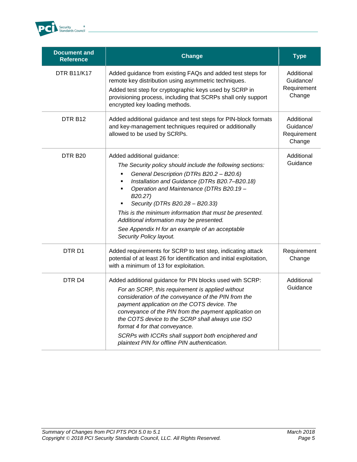

| <b>Document and</b><br><b>Reference</b> | <b>Change</b>                                                                                                                                                                                                                                                                                                                                                                                                                                                                                   | <b>Type</b>                                      |
|-----------------------------------------|-------------------------------------------------------------------------------------------------------------------------------------------------------------------------------------------------------------------------------------------------------------------------------------------------------------------------------------------------------------------------------------------------------------------------------------------------------------------------------------------------|--------------------------------------------------|
| <b>DTR B11/K17</b>                      | Added guidance from existing FAQs and added test steps for<br>remote key distribution using asymmetric techniques.<br>Added test step for cryptographic keys used by SCRP in<br>provisioning process, including that SCRPs shall only support<br>encrypted key loading methods.                                                                                                                                                                                                                 | Additional<br>Guidance/<br>Requirement<br>Change |
| DTR B <sub>12</sub>                     | Added additional guidance and test steps for PIN-block formats<br>and key-management techniques required or additionally<br>allowed to be used by SCRPs.                                                                                                                                                                                                                                                                                                                                        | Additional<br>Guidance/<br>Requirement<br>Change |
| DTR B <sub>20</sub>                     | Added additional guidance:<br>The Security policy should include the following sections:<br>General Description (DTRs B20.2 - B20.6)<br>٠<br>Installation and Guidance (DTRs B20.7-B20.18)<br>$\blacksquare$<br>Operation and Maintenance (DTRs B20.19 -<br>٠<br>B20.27)<br>Security (DTRs B20.28 - B20.33)<br>This is the minimum information that must be presented.<br>Additional information may be presented.<br>See Appendix H for an example of an acceptable<br>Security Policy layout. | Additional<br>Guidance                           |
| DTR <sub>D1</sub>                       | Added requirements for SCRP to test step, indicating attack<br>potential of at least 26 for identification and initial exploitation,<br>with a minimum of 13 for exploitation.                                                                                                                                                                                                                                                                                                                  | Requirement<br>Change                            |
| DTR <sub>D4</sub>                       | Added additional guidance for PIN blocks used with SCRP:<br>For an SCRP, this requirement is applied without<br>consideration of the conveyance of the PIN from the<br>payment application on the COTS device. The<br>conveyance of the PIN from the payment application on<br>the COTS device to the SCRP shall always use ISO<br>format 4 for that conveyance.<br>SCRPs with ICCRs shall support both enciphered and<br>plaintext PIN for offline PIN authentication.                         | Additional<br>Guidance                           |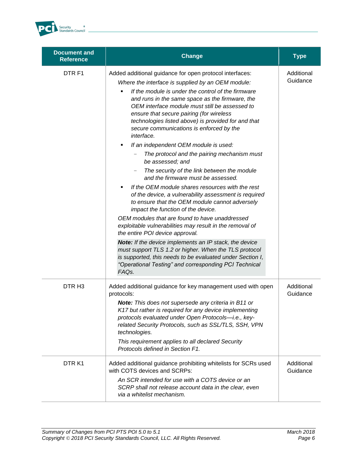

| <b>Document and</b><br><b>Reference</b> | <b>Change</b>                                                                                                                                                                                                                                                                                                                                                                                                                                                                                                                                                                                                                                                                                                                                                                                                                                                                                                                                                                                                                                                                                                                                                                                                                                                                | <b>Type</b>            |
|-----------------------------------------|------------------------------------------------------------------------------------------------------------------------------------------------------------------------------------------------------------------------------------------------------------------------------------------------------------------------------------------------------------------------------------------------------------------------------------------------------------------------------------------------------------------------------------------------------------------------------------------------------------------------------------------------------------------------------------------------------------------------------------------------------------------------------------------------------------------------------------------------------------------------------------------------------------------------------------------------------------------------------------------------------------------------------------------------------------------------------------------------------------------------------------------------------------------------------------------------------------------------------------------------------------------------------|------------------------|
| DTR F1                                  | Added additional guidance for open protocol interfaces:<br>Where the interface is supplied by an OEM module:<br>If the module is under the control of the firmware<br>×,<br>and runs in the same space as the firmware, the<br>OEM interface module must still be assessed to<br>ensure that secure pairing (for wireless<br>technologies listed above) is provided for and that<br>secure communications is enforced by the<br>interface.<br>If an independent OEM module is used:<br>٠<br>The protocol and the pairing mechanism must<br>be assessed; and<br>The security of the link between the module<br>and the firmware must be assessed.<br>If the OEM module shares resources with the rest<br>of the device, a vulnerability assessment is required<br>to ensure that the OEM module cannot adversely<br>impact the function of the device.<br>OEM modules that are found to have unaddressed<br>exploitable vulnerabilities may result in the removal of<br>the entire POI device approval.<br><b>Note:</b> If the device implements an IP stack, the device<br>must support TLS 1.2 or higher. When the TLS protocol<br>is supported, this needs to be evaluated under Section I,<br>"Operational Testing" and corresponding PCI Technical<br>FAQ <sub>s</sub> . | Additional<br>Guidance |
| DTR <sub>H3</sub>                       | Added additional guidance for key management used with open<br>protocols:<br><b>Note:</b> This does not supersede any criteria in B11 or<br>K17 but rather is required for any device implementing<br>protocols evaluated under Open Protocols-i.e., key-<br>related Security Protocols, such as SSL/TLS, SSH, VPN<br>technologies.<br>This requirement applies to all declared Security<br>Protocols defined in Section F1.                                                                                                                                                                                                                                                                                                                                                                                                                                                                                                                                                                                                                                                                                                                                                                                                                                                 | Additional<br>Guidance |
| DTR K1                                  | Added additional guidance prohibiting whitelists for SCRs used<br>with COTS devices and SCRPs:<br>An SCR intended for use with a COTS device or an<br>SCRP shall not release account data in the clear, even<br>via a whitelist mechanism.                                                                                                                                                                                                                                                                                                                                                                                                                                                                                                                                                                                                                                                                                                                                                                                                                                                                                                                                                                                                                                   | Additional<br>Guidance |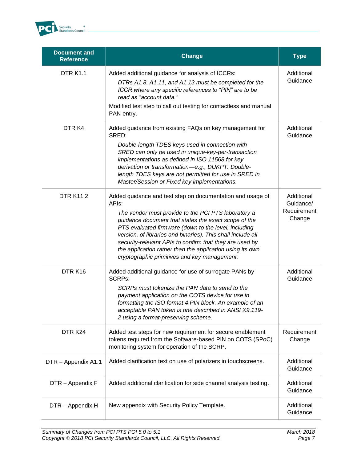

| <b>Document and</b><br><b>Reference</b> | <b>Change</b>                                                                                                                                                                                                                                                                                                                                                                                                                                                                     | <b>Type</b>                                      |
|-----------------------------------------|-----------------------------------------------------------------------------------------------------------------------------------------------------------------------------------------------------------------------------------------------------------------------------------------------------------------------------------------------------------------------------------------------------------------------------------------------------------------------------------|--------------------------------------------------|
| <b>DTR K1.1</b>                         | Added additional guidance for analysis of ICCRs:<br>DTRs A1.8, A1.11, and A1.13 must be completed for the<br>ICCR where any specific references to "PIN" are to be<br>read as "account data."<br>Modified test step to call out testing for contactless and manual<br>PAN entry.                                                                                                                                                                                                  | Additional<br>Guidance                           |
| DTR K4                                  | Added guidance from existing FAQs on key management for<br>SRED:<br>Double-length TDES keys used in connection with<br>SRED can only be used in unique-key-per-transaction<br>implementations as defined in ISO 11568 for key<br>derivation or transformation-e.g., DUKPT. Double-<br>length TDES keys are not permitted for use in SRED in<br>Master/Session or Fixed key implementations.                                                                                       | Additional<br>Guidance                           |
| <b>DTR K11.2</b>                        | Added guidance and test step on documentation and usage of<br>APIs:<br>The vendor must provide to the PCI PTS laboratory a<br>guidance document that states the exact scope of the<br>PTS evaluated firmware (down to the level, including<br>version, of libraries and binaries). This shall include all<br>security-relevant APIs to confirm that they are used by<br>the application rather than the application using its own<br>cryptographic primitives and key management. | Additional<br>Guidance/<br>Requirement<br>Change |
| DTRK16                                  | Added additional guidance for use of surrogate PANs by<br><b>SCRPs:</b><br>SCRPs must tokenize the PAN data to send to the<br>payment application on the COTS device for use in<br>formatting the ISO format 4 PIN block. An example of an<br>acceptable PAN token is one described in ANSI X9.119-<br>2 using a format-preserving scheme.                                                                                                                                        | Additional<br>Guidance                           |
| DTR K24                                 | Added test steps for new requirement for secure enablement<br>tokens required from the Software-based PIN on COTS (SPoC)<br>monitoring system for operation of the SCRP.                                                                                                                                                                                                                                                                                                          | Requirement<br>Change                            |
| DTR - Appendix A1.1                     | Added clarification text on use of polarizers in touchscreens.                                                                                                                                                                                                                                                                                                                                                                                                                    | Additional<br>Guidance                           |
| DTR - Appendix F                        | Added additional clarification for side channel analysis testing.                                                                                                                                                                                                                                                                                                                                                                                                                 | Additional<br>Guidance                           |
| DTR - Appendix H                        | New appendix with Security Policy Template.                                                                                                                                                                                                                                                                                                                                                                                                                                       | Additional<br>Guidance                           |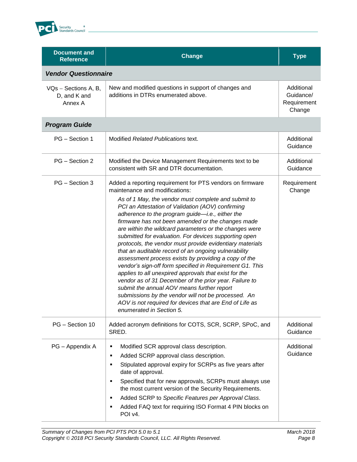

| <b>Document and</b><br><b>Reference</b>         | <b>Change</b>                                                                                                                                                                                                                                                                                                                                                                                                                                                                                                                                                                                                                                                                                                                                                                                                                                                                                                                                                                             | <b>Type</b>                                      |
|-------------------------------------------------|-------------------------------------------------------------------------------------------------------------------------------------------------------------------------------------------------------------------------------------------------------------------------------------------------------------------------------------------------------------------------------------------------------------------------------------------------------------------------------------------------------------------------------------------------------------------------------------------------------------------------------------------------------------------------------------------------------------------------------------------------------------------------------------------------------------------------------------------------------------------------------------------------------------------------------------------------------------------------------------------|--------------------------------------------------|
| <b>Vendor Questionnaire</b>                     |                                                                                                                                                                                                                                                                                                                                                                                                                                                                                                                                                                                                                                                                                                                                                                                                                                                                                                                                                                                           |                                                  |
| VQs - Sections A, B,<br>D, and K and<br>Annex A | New and modified questions in support of changes and<br>additions in DTRs enumerated above.                                                                                                                                                                                                                                                                                                                                                                                                                                                                                                                                                                                                                                                                                                                                                                                                                                                                                               | Additional<br>Guidance/<br>Requirement<br>Change |
| <b>Program Guide</b>                            |                                                                                                                                                                                                                                                                                                                                                                                                                                                                                                                                                                                                                                                                                                                                                                                                                                                                                                                                                                                           |                                                  |
| PG - Section 1                                  | Modified Related Publications text.                                                                                                                                                                                                                                                                                                                                                                                                                                                                                                                                                                                                                                                                                                                                                                                                                                                                                                                                                       | Additional<br>Guidance                           |
| PG - Section 2                                  | Modified the Device Management Requirements text to be<br>consistent with SR and DTR documentation.                                                                                                                                                                                                                                                                                                                                                                                                                                                                                                                                                                                                                                                                                                                                                                                                                                                                                       | Additional<br>Guidance                           |
| PG - Section 3                                  | Added a reporting requirement for PTS vendors on firmware<br>maintenance and modifications:<br>As of 1 May, the vendor must complete and submit to<br>PCI an Attestation of Validation (AOV) confirming<br>adherence to the program guide-i.e., either the<br>firmware has not been amended or the changes made<br>are within the wildcard parameters or the changes were<br>submitted for evaluation. For devices supporting open<br>protocols, the vendor must provide evidentiary materials<br>that an auditable record of an ongoing vulnerability<br>assessment process exists by providing a copy of the<br>vendor's sign-off form specified in Requirement G1. This<br>applies to all unexpired approvals that exist for the<br>vendor as of 31 December of the prior year. Failure to<br>submit the annual AOV means further report<br>submissions by the vendor will not be processed. An<br>AOV is not required for devices that are End of Life as<br>enumerated in Section 5. | Requirement<br>Change                            |
| PG - Section 10                                 | Added acronym definitions for COTS, SCR, SCRP, SPoC, and<br>SRED.                                                                                                                                                                                                                                                                                                                                                                                                                                                                                                                                                                                                                                                                                                                                                                                                                                                                                                                         | Additional<br>Guidance                           |
| PG - Appendix A                                 | Modified SCR approval class description.<br>п<br>Added SCRP approval class description.<br>٠<br>Stipulated approval expiry for SCRPs as five years after<br>п<br>date of approval.<br>Specified that for new approvals, SCRPs must always use<br>the most current version of the Security Requirements.<br>Added SCRP to Specific Features per Approval Class.<br>٠<br>Added FAQ text for requiring ISO Format 4 PIN blocks on<br>٠<br>POI v4.                                                                                                                                                                                                                                                                                                                                                                                                                                                                                                                                            | Additional<br>Guidance                           |